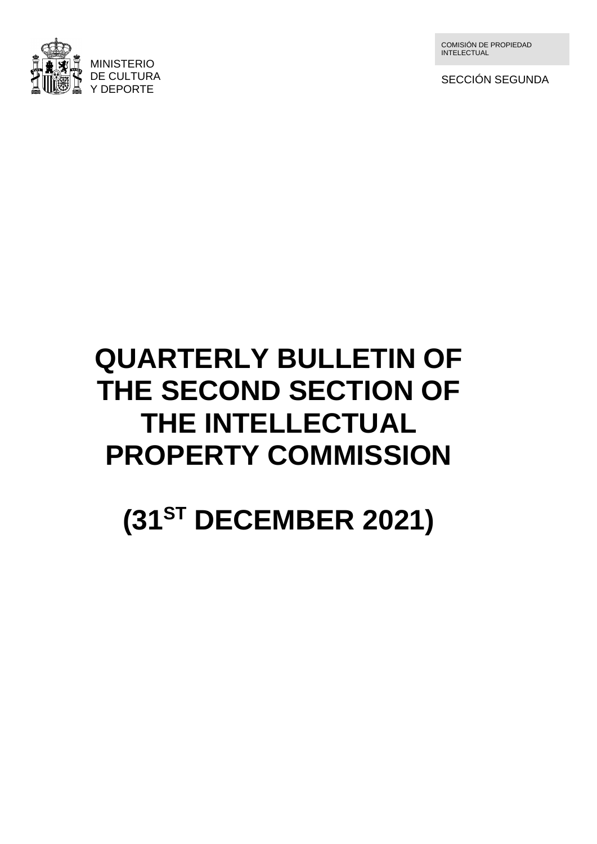

COMISIÓN DE PROPIEDAD INTELECTUAL

SECCIÓN SEGUNDA

# **QUARTERLY BULLETIN OF THE SECOND SECTION OF THE INTELLECTUAL PROPERTY COMMISSION**

**(31 ST DECEMBER 2021)**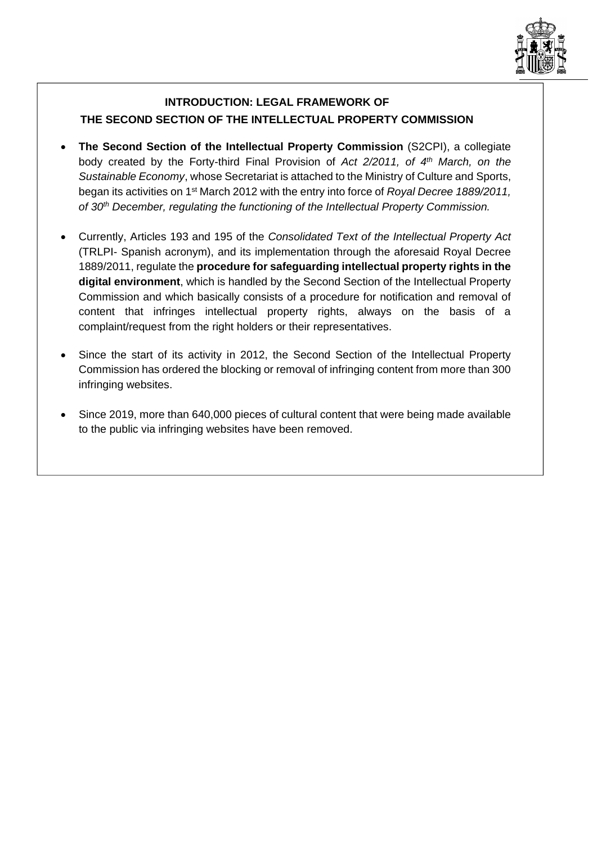

# **INTRODUCTION: LEGAL FRAMEWORK OF THE SECOND SECTION OF THE INTELLECTUAL PROPERTY COMMISSION**

- **The Second Section of the Intellectual Property Commission** (S2CPI), a collegiate body created by the Forty-third Final Provision of *Act 2/2011, of 4th March, on the Sustainable Economy*, whose Secretariat is attached to the Ministry of Culture and Sports, began its activities on 1st March 2012 with the entry into force of *Royal Decree 1889/2011, of 30th December, regulating the functioning of the Intellectual Property Commission.*
- Currently, Articles 193 and 195 of the *Consolidated Text of the Intellectual Property Act* (TRLPI- Spanish acronym), and its implementation through the aforesaid Royal Decree 1889/2011, regulate the **procedure for safeguarding intellectual property rights in the digital environment**, which is handled by the Second Section of the Intellectual Property Commission and which basically consists of a procedure for notification and removal of content that infringes intellectual property rights, always on the basis of a complaint/request from the right holders or their representatives.
- Since the start of its activity in 2012, the Second Section of the Intellectual Property Commission has ordered the blocking or removal of infringing content from more than 300 infringing websites.
- Since 2019, more than 640,000 pieces of cultural content that were being made available to the public via infringing websites have been removed.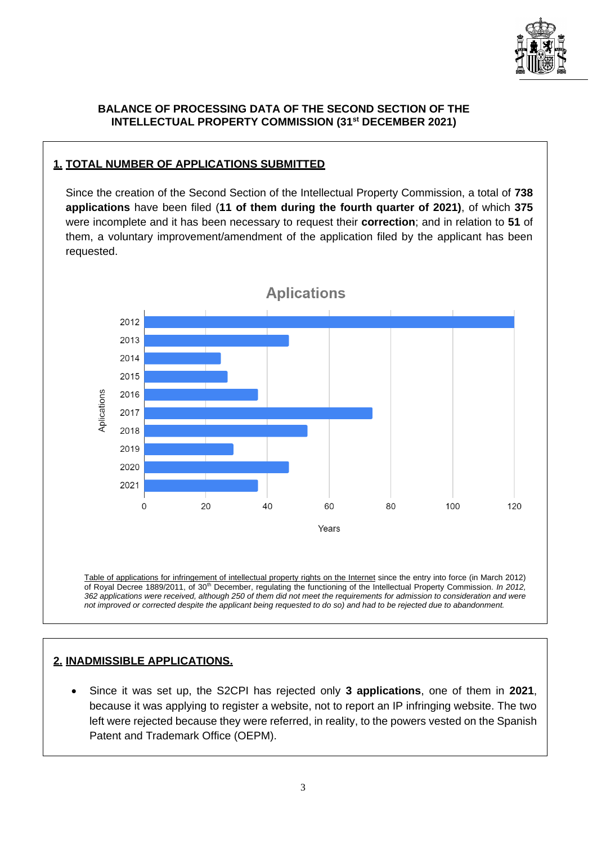

## **BALANCE OF PROCESSING DATA OF THE SECOND SECTION OF THE INTELLECTUAL PROPERTY COMMISSION (31st DECEMBER 2021)**

# **1. TOTAL NUMBER OF APPLICATIONS SUBMITTED**

Since the creation of the Second Section of the Intellectual Property Commission, a total of **738 applications** have been filed (**11 of them during the fourth quarter of 2021)**, of which **375** were incomplete and it has been necessary to request their **correction**; and in relation to **51** of them, a voluntary improvement/amendment of the application filed by the applicant has been requested.



Table of applications for infringement of intellectual property rights on the Internet since the entry into force (in March 2012) of Royal Decree 1889/2011, of 30th December, regulating the functioning of the Intellectual Property Commission. *In 2012, 362 applications were received, although 250 of them did not meet the requirements for admission to consideration and were not improved or corrected despite the applicant being requested to do so) and had to be rejected due to abandonment.*

# **2. INADMISSIBLE APPLICATIONS.**

• Since it was set up, the S2CPI has rejected only **3 applications**, one of them in **2021**, because it was applying to register a website, not to report an IP infringing website. The two left were rejected because they were referred, in reality, to the powers vested on the Spanish Patent and Trademark Office (OEPM).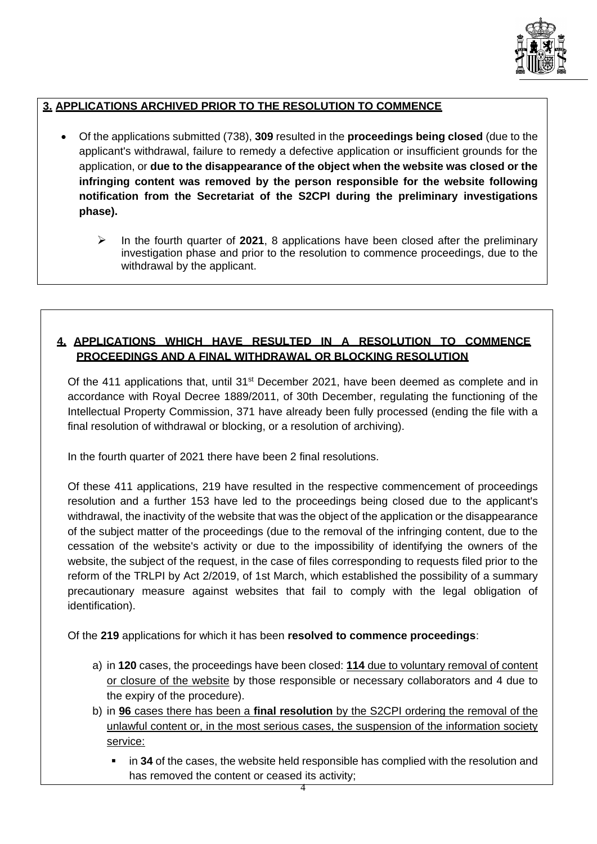

# **3. APPLICATIONS ARCHIVED PRIOR TO THE RESOLUTION TO COMMENCE**

- Of the applications submitted (738), **309** resulted in the **proceedings being closed** (due to the applicant's withdrawal, failure to remedy a defective application or insufficient grounds for the application, or **due to the disappearance of the object when the website was closed or the infringing content was removed by the person responsible for the website following notification from the Secretariat of the S2CPI during the preliminary investigations phase).**
	- ➢ In the fourth quarter of **2021**, 8 applications have been closed after the preliminary investigation phase and prior to the resolution to commence proceedings, due to the withdrawal by the applicant.

# **4. APPLICATIONS WHICH HAVE RESULTED IN A RESOLUTION TO COMMENCE PROCEEDINGS AND A FINAL WITHDRAWAL OR BLOCKING RESOLUTION**

Of the 411 applications that, until  $31<sup>st</sup>$  December 2021, have been deemed as complete and in accordance with Royal Decree 1889/2011, of 30th December, regulating the functioning of the Intellectual Property Commission, 371 have already been fully processed (ending the file with a final resolution of withdrawal or blocking, or a resolution of archiving).

In the fourth quarter of 2021 there have been 2 final resolutions.

Of these 411 applications, 219 have resulted in the respective commencement of proceedings resolution and a further 153 have led to the proceedings being closed due to the applicant's withdrawal, the inactivity of the website that was the object of the application or the disappearance of the subject matter of the proceedings (due to the removal of the infringing content, due to the cessation of the website's activity or due to the impossibility of identifying the owners of the website, the subject of the request, in the case of files corresponding to requests filed prior to the reform of the TRLPI by Act 2/2019, of 1st March, which established the possibility of a summary precautionary measure against websites that fail to comply with the legal obligation of identification).

Of the **219** applications for which it has been **resolved to commence proceedings**:

- a) in **120** cases, the proceedings have been closed: **114** due to voluntary removal of content or closure of the website by those responsible or necessary collaborators and 4 due to the expiry of the procedure).
- b) in **96** cases there has been a **final resolution** by the S2CPI ordering the removal of the unlawful content or, in the most serious cases, the suspension of the information society service:
	- **.** in 34 of the cases, the website held responsible has complied with the resolution and has removed the content or ceased its activity;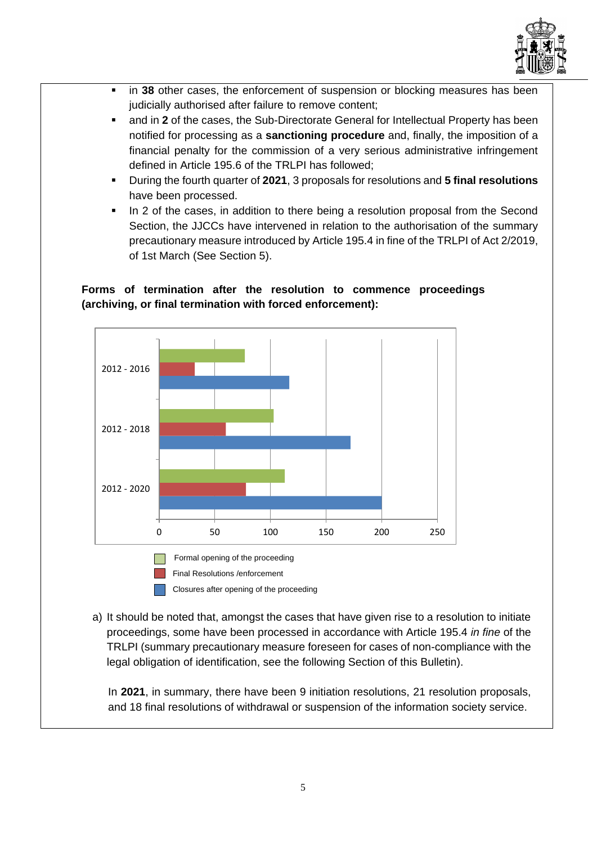

- in 38 other cases, the enforcement of suspension or blocking measures has been judicially authorised after failure to remove content;
- and in 2 of the cases, the Sub-Directorate General for Intellectual Property has been notified for processing as a **sanctioning procedure** and, finally, the imposition of a financial penalty for the commission of a very serious administrative infringement defined in Article 195.6 of the TRLPI has followed;
- During the fourth quarter of **2021**, 3 proposals for resolutions and **5 final resolutions** have been processed.
- **•** In 2 of the cases, in addition to there being a resolution proposal from the Second Section, the JJCCs have intervened in relation to the authorisation of the summary precautionary measure introduced by Article 195.4 in fine of the TRLPI of Act 2/2019, of 1st March (See Section 5).

# **Forms of termination after the resolution to commence proceedings (archiving, or final termination with forced enforcement):**



- Closures after opening of the proceeding
- a) It should be noted that, amongst the cases that have given rise to a resolution to initiate proceedings, some have been processed in accordance with Article 195.4 *in fine* of the TRLPI (summary precautionary measure foreseen for cases of non-compliance with the legal obligation of identification, see the following Section of this Bulletin).

In **2021**, in summary, there have been 9 initiation resolutions, 21 resolution proposals, and 18 final resolutions of withdrawal or suspension of the information society service.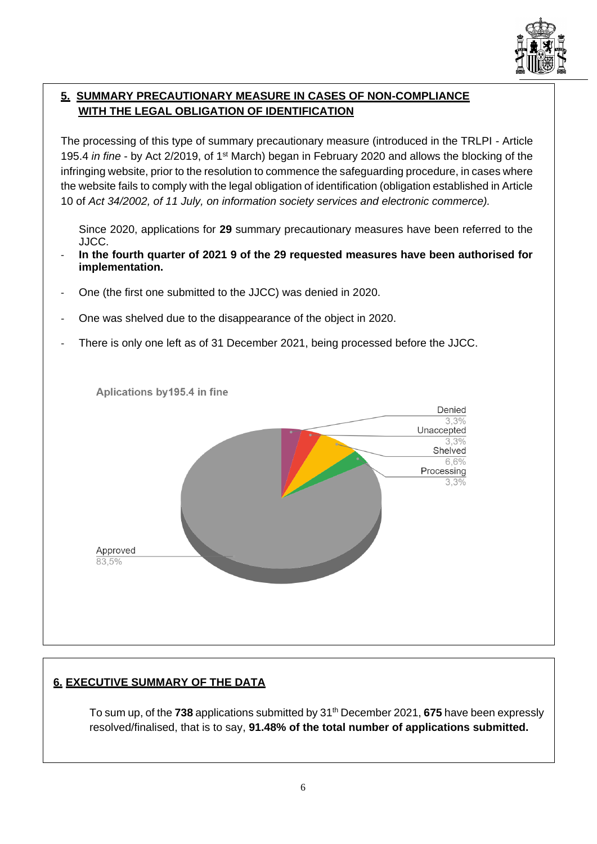

# **5. SUMMARY PRECAUTIONARY MEASURE IN CASES OF NON-COMPLIANCE WITH THE LEGAL OBLIGATION OF IDENTIFICATION**

The processing of this type of summary precautionary measure (introduced in the TRLPI - Article 195.4 *in fine* - by Act 2/2019, of 1st March) began in February 2020 and allows the blocking of the infringing website, prior to the resolution to commence the safeguarding procedure, in cases where the website fails to comply with the legal obligation of identification (obligation established in Article 10 of *Act 34/2002, of 11 July, on information society services and electronic commerce).*

Since 2020, applications for **29** summary precautionary measures have been referred to the JJCC.

- **In the fourth quarter of 2021 9 of the 29 requested measures have been authorised for implementation.**
- One (the first one submitted to the JJCC) was denied in 2020.
- One was shelved due to the disappearance of the object in 2020.
- There is only one left as of 31 December 2021, being processed before the JJCC.



# **6. EXECUTIVE SUMMARY OF THE DATA**

To sum up, of the 738 applications submitted by 31<sup>th</sup> December 2021, 675 have been expressly resolved/finalised, that is to say, **91.48% of the total number of applications submitted.**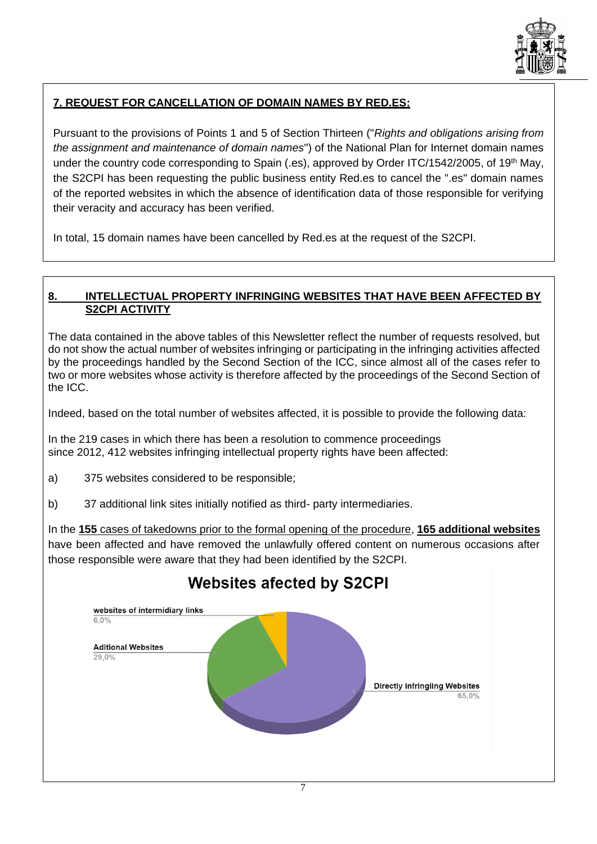

# **7. REQUEST FOR CANCELLATION OF DOMAIN NAMES BY RED.ES:**

Pursuant to the provisions of Points 1 and 5 of Section Thirteen ("*Rights and obligations arising from the assignment and maintenance of domain names*") of the National Plan for Internet domain names under the country code corresponding to Spain (.es), approved by Order ITC/1542/2005, of 19<sup>th</sup> May, the S2CPI has been requesting the public business entity Red.es to cancel the ".es" domain names of the reported websites in which the absence of identification data of those responsible for verifying their veracity and accuracy has been verified.

In total, 15 domain names have been cancelled by Red.es at the request of the S2CPI.

### **8. INTELLECTUAL PROPERTY INFRINGING WEBSITES THAT HAVE BEEN AFFECTED BY S2CPI ACTIVITY**

The data contained in the above tables of this Newsletter reflect the number of requests resolved, but do not show the actual number of websites infringing or participating in the infringing activities affected by the proceedings handled by the Second Section of the ICC, since almost all of the cases refer to two or more websites whose activity is therefore affected by the proceedings of the Second Section of the ICC.

Indeed, based on the total number of websites affected, it is possible to provide the following data:

In the 219 cases in which there has been a resolution to commence proceedings since 2012, 412 websites infringing intellectual property rights have been affected:

- a) 375 websites considered to be responsible;
- b) 37 additional link sites initially notified as third- party intermediaries.

In the **155** cases of takedowns prior to the formal opening of the procedure, **165 additional websites** have been affected and have removed the unlawfully offered content on numerous occasions after those responsible were aware that they had been identified by the S2CPI.



# **Websites afected by S2CPI**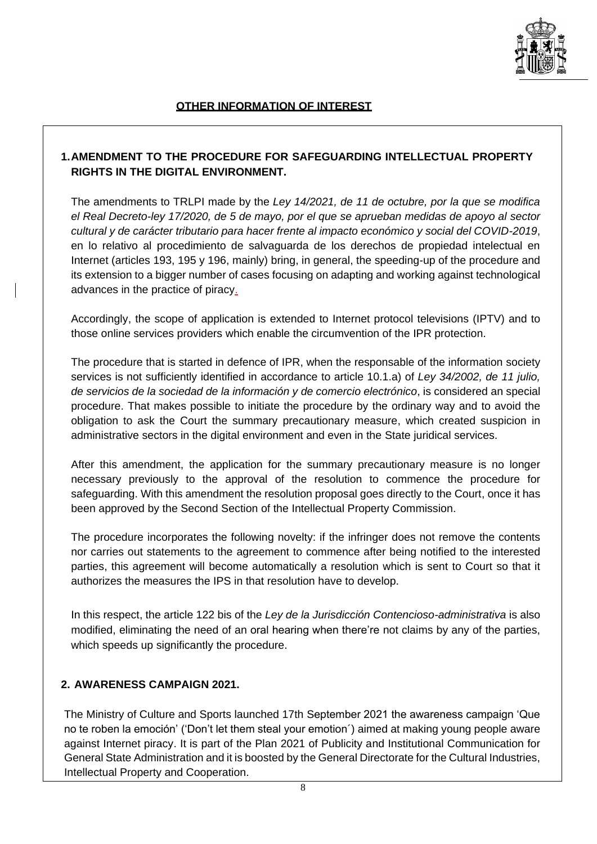

# **1.AMENDMENT TO THE PROCEDURE FOR SAFEGUARDING INTELLECTUAL PROPERTY RIGHTS IN THE DIGITAL ENVIRONMENT.**

The amendments to TRLPI made by the *Ley 14/2021, de 11 de octubre, por la que se modifica el Real Decreto-ley 17/2020, de 5 de mayo, por el que se aprueban medidas de apoyo al sector cultural y de carácter tributario para hacer frente al impacto económico y social del COVID-2019*, en lo relativo al procedimiento de salvaguarda de los derechos de propiedad intelectual en Internet (articles 193, 195 y 196, mainly) bring, in general, the speeding-up of the procedure and its extension to a bigger number of cases focusing on adapting and working against technological advances in the practice of piracy.

Accordingly, the scope of application is extended to Internet protocol televisions (IPTV) and to those online services providers which enable the circumvention of the IPR protection.

The procedure that is started in defence of IPR, when the responsable of the information society services is not sufficiently identified in accordance to article 10.1.a) of *Ley 34/2002, de 11 julio, de servicios de la sociedad de la información y de comercio electrónico*, is considered an special procedure. That makes possible to initiate the procedure by the ordinary way and to avoid the obligation to ask the Court the summary precautionary measure, which created suspicion in administrative sectors in the digital environment and even in the State juridical services.

After this amendment, the application for the summary precautionary measure is no longer necessary previously to the approval of the resolution to commence the procedure for safeguarding. With this amendment the resolution proposal goes directly to the Court, once it has been approved by the Second Section of the Intellectual Property Commission.

The procedure incorporates the following novelty: if the infringer does not remove the contents nor carries out statements to the agreement to commence after being notified to the interested parties, this agreement will become automatically a resolution which is sent to Court so that it authorizes the measures the IPS in that resolution have to develop.

In this respect, the article 122 bis of the *Ley de la Jurisdicción Contencioso-administrativa* is also modified, eliminating the need of an oral hearing when there're not claims by any of the parties, which speeds up significantly the procedure.

# **2. AWARENESS CAMPAIGN 2021.**

The Ministry of Culture and Sports launched 17th September 2021 the awareness campaign 'Que no te roben la emoción' ('Don't let them steal your emotion´) aimed at making young people aware against Internet piracy. It is part of the Plan 2021 of Publicity and Institutional Communication for General State Administration and it is boosted by the General Directorate for the Cultural Industries, Intellectual Property and Cooperation.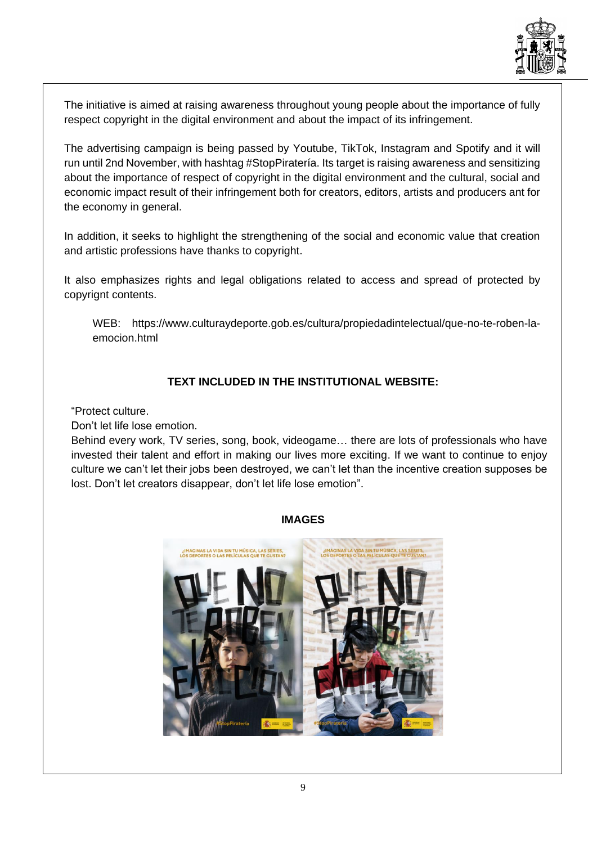

The initiative is aimed at raising awareness throughout young people about the importance of fully respect copyright in the digital environment and about the impact of its infringement.

The advertising campaign is being passed by Youtube, TikTok, Instagram and Spotify and it will run until 2nd November, with hashtag #StopPiratería. Its target is raising awareness and sensitizing about the importance of respect of copyright in the digital environment and the cultural, social and economic impact result of their infringement both for creators, editors, artists and producers ant for the economy in general.

In addition, it seeks to highlight the strengthening of the social and economic value that creation and artistic professions have thanks to copyright.

It also emphasizes rights and legal obligations related to access and spread of protected by copyrignt contents.

WEB: [https://www.culturaydeporte.gob.es/cultura/propiedadintelectual/que-no-te-roben-la](https://www.culturaydeporte.gob.es/cultura/propiedadintelectual/que-no-te-roben-la-emocion.html)[emocion.html](https://www.culturaydeporte.gob.es/cultura/propiedadintelectual/que-no-te-roben-la-emocion.html)

# **TEXT INCLUDED IN THE INSTITUTIONAL WEBSITE:**

"Protect culture.

Don't let life lose emotion.

Behind every work, TV series, song, book, videogame… there are lots of professionals who have invested their talent and effort in making our lives more exciting. If we want to continue to enjoy culture we can't let their jobs been destroyed, we can't let than the incentive creation supposes be lost. Don't let creators disappear, don't let life lose emotion".



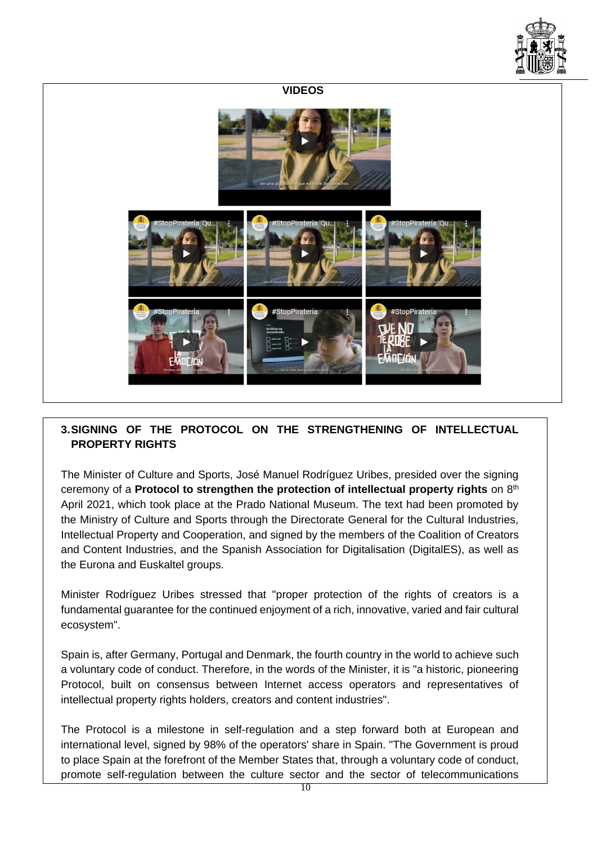

# **VIDEOS**

# **3.SIGNING OF THE PROTOCOL ON THE STRENGTHENING OF INTELLECTUAL PROPERTY RIGHTS**

The Minister of Culture and Sports, José Manuel Rodríguez Uribes, presided over the signing ceremony of a **Protocol to strengthen the protection of intellectual property rights** on 8th April 2021, which took place at the Prado National Museum. The text had been promoted by the Ministry of Culture and Sports through the Directorate General for the Cultural Industries, Intellectual Property and Cooperation, and signed by the members of the Coalition of Creators and Content Industries, and the Spanish Association for Digitalisation (DigitalES), as well as the Eurona and Euskaltel groups.

Minister Rodríguez Uribes stressed that "proper protection of the rights of creators is a fundamental guarantee for the continued enjoyment of a rich, innovative, varied and fair cultural ecosystem".

Spain is, after Germany, Portugal and Denmark, the fourth country in the world to achieve such a voluntary code of conduct. Therefore, in the words of the Minister, it is "a historic, pioneering Protocol, built on consensus between Internet access operators and representatives of intellectual property rights holders, creators and content industries".

The Protocol is a milestone in self-regulation and a step forward both at European and international level, signed by 98% of the operators' share in Spain. "The Government is proud to place Spain at the forefront of the Member States that, through a voluntary code of conduct, promote self-regulation between the culture sector and the sector of telecommunications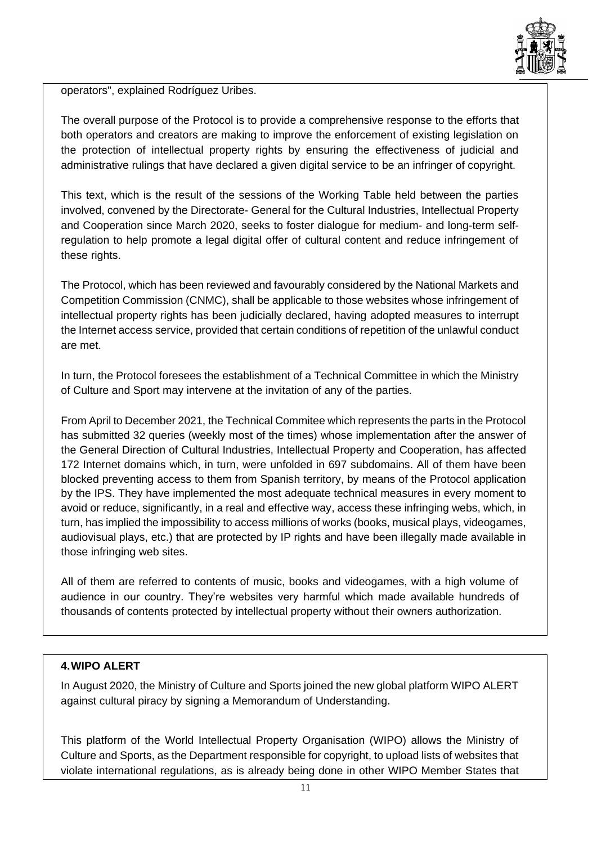

operators", explained Rodríguez Uribes.

The overall purpose of the Protocol is to provide a comprehensive response to the efforts that both operators and creators are making to improve the enforcement of existing legislation on the protection of intellectual property rights by ensuring the effectiveness of judicial and administrative rulings that have declared a given digital service to be an infringer of copyright.

This text, which is the result of the sessions of the Working Table held between the parties involved, convened by the Directorate- General for the Cultural Industries, Intellectual Property and Cooperation since March 2020, seeks to foster dialogue for medium- and long-term selfregulation to help promote a legal digital offer of cultural content and reduce infringement of these rights.

The Protocol, which has been reviewed and favourably considered by the National Markets and Competition Commission (CNMC), shall be applicable to those websites whose infringement of intellectual property rights has been judicially declared, having adopted measures to interrupt the Internet access service, provided that certain conditions of repetition of the unlawful conduct are met.

In turn, the Protocol foresees the establishment of a Technical Committee in which the Ministry of Culture and Sport may intervene at the invitation of any of the parties.

From April to December 2021, the Technical Commitee which represents the parts in the Protocol has submitted 32 queries (weekly most of the times) whose implementation after the answer of the General Direction of Cultural Industries, Intellectual Property and Cooperation, has affected 172 Internet domains which, in turn, were unfolded in 697 subdomains. All of them have been blocked preventing access to them from Spanish territory, by means of the Protocol application by the IPS. They have implemented the most adequate technical measures in every moment to avoid or reduce, significantly, in a real and effective way, access these infringing webs, which, in turn, has implied the impossibility to access millions of works (books, musical plays, videogames, audiovisual plays, etc.) that are protected by IP rights and have been illegally made available in those infringing web sites.

All of them are referred to contents of music, books and videogames, with a high volume of audience in our country. They're websites very harmful which made available hundreds of thousands of contents protected by intellectual property without their owners authorization.

# **4.WIPO ALERT**

In August 2020, the Ministry of Culture and Sports joined the new global platform WIPO ALERT against cultural piracy by signing a Memorandum of Understanding.

This platform of the World Intellectual Property Organisation (WIPO) allows the Ministry of Culture and Sports, as the Department responsible for copyright, to upload lists of websites that violate international regulations, as is already being done in other WIPO Member States that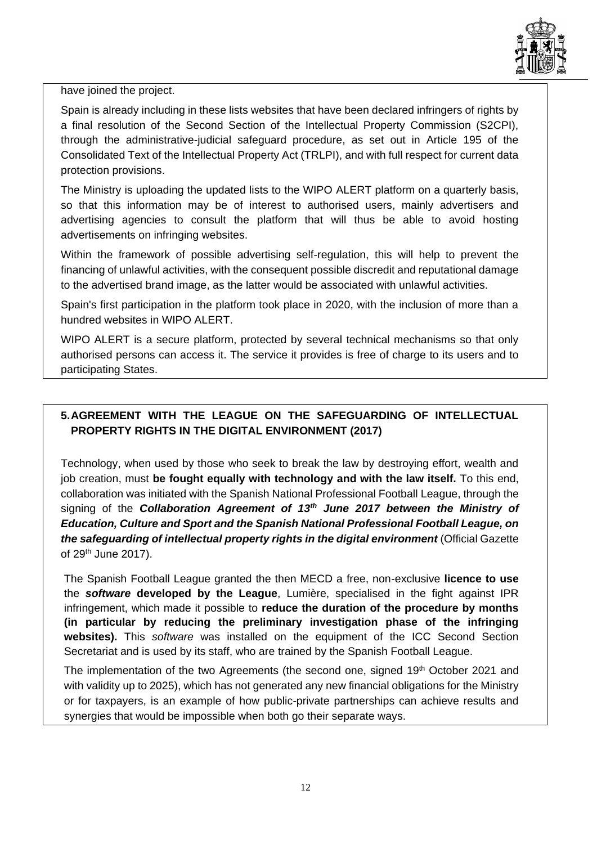

have joined the project.

Spain is already including in these lists websites that have been declared infringers of rights by a final resolution of the Second Section of the Intellectual Property Commission (S2CPI), through the administrative-judicial safeguard procedure, as set out in Article 195 of the Consolidated Text of the Intellectual Property Act (TRLPI), and with full respect for current data protection provisions.

The Ministry is uploading the updated lists to the WIPO ALERT platform on a quarterly basis, so that this information may be of interest to authorised users, mainly advertisers and advertising agencies to consult the platform that will thus be able to avoid hosting advertisements on infringing websites.

Within the framework of possible advertising self-regulation, this will help to prevent the financing of unlawful activities, with the consequent possible discredit and reputational damage to the advertised brand image, as the latter would be associated with unlawful activities.

Spain's first participation in the platform took place in 2020, with the inclusion of more than a hundred websites in WIPO ALERT.

WIPO ALERT is a secure platform, protected by several technical mechanisms so that only authorised persons can access it. The service it provides is free of charge to its users and to participating States.

# **5.AGREEMENT WITH THE LEAGUE ON THE SAFEGUARDING OF INTELLECTUAL PROPERTY RIGHTS IN THE DIGITAL ENVIRONMENT (2017)**

Technology, when used by those who seek to break the law by destroying effort, wealth and job creation, must **be fought equally with technology and with the law itself.** To this end, collaboration was initiated with the Spanish National Professional Football League, through the signing of the *Collaboration Agreement of 13th June 2017 between the Ministry of Education, Culture and Sport and the Spanish National Professional Football League, on the safeguarding of intellectual property rights in the digital environment* (Official Gazette of 29th June 2017).

The Spanish Football League granted the then MECD a free, non-exclusive **licence to use** the *software* **developed by the League**, Lumière, specialised in the fight against IPR infringement, which made it possible to **reduce the duration of the procedure by months (in particular by reducing the preliminary investigation phase of the infringing websites).** This *software* was installed on the equipment of the ICC Second Section Secretariat and is used by its staff, who are trained by the Spanish Football League.

The implementation of the two Agreements (the second one, signed 19<sup>th</sup> October 2021 and with validity up to 2025), which has not generated any new financial obligations for the Ministry or for taxpayers, is an example of how public-private partnerships can achieve results and synergies that would be impossible when both go their separate ways.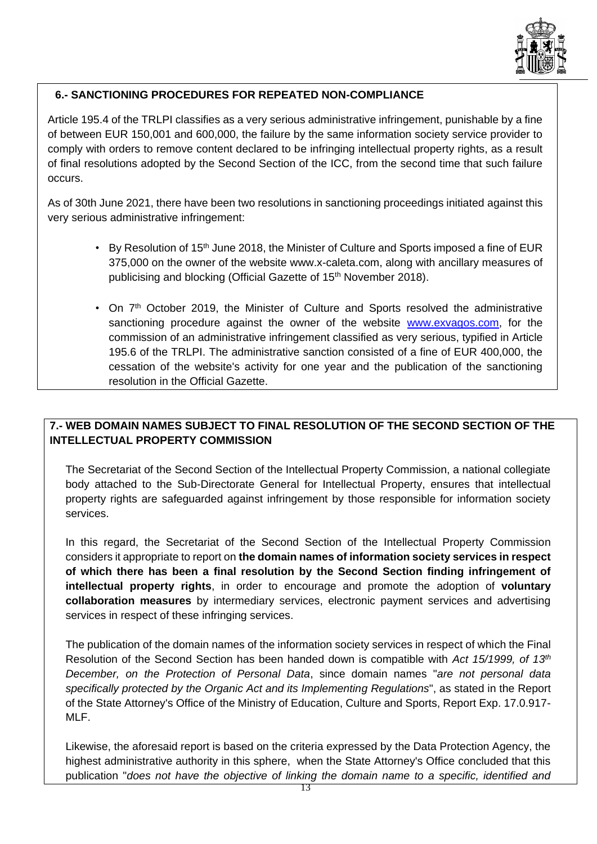

# **6.- SANCTIONING PROCEDURES FOR REPEATED NON-COMPLIANCE**

Article 195.4 of the TRLPI classifies as a very serious administrative infringement, punishable by a fine of between EUR 150,001 and 600,000, the failure by the same information society service provider to comply with orders to remove content declared to be infringing intellectual property rights, as a result of final resolutions adopted by the Second Section of the ICC, from the second time that such failure occurs.

As of 30th June 2021, there have been two resolutions in sanctioning proceedings initiated against this very serious administrative infringement:

- By Resolution of 15<sup>th</sup> June 2018, the Minister of Culture and Sports imposed a fine of EUR 375,000 on the owner of the website [www.x-caleta.com,](http://www.x-caleta.com/) along with ancillary measures of publicising and blocking (Official Gazette of 15<sup>th</sup> November 2018).
- On 7<sup>th</sup> October 2019, the Minister of Culture and Sports resolved the administrative sanctioning procedure against the owner of the website [www.exvagos.com,](http://www.exvagos.com/) for the commission of an administrative infringement classified as very serious, typified in Article 195.6 of the TRLPI. The administrative sanction consisted of a fine of EUR 400,000, the cessation of the website's activity for one year and the publication of the sanctioning resolution in the Official Gazette.

# **7.- WEB DOMAIN NAMES SUBJECT TO FINAL RESOLUTION OF THE SECOND SECTION OF THE INTELLECTUAL PROPERTY COMMISSION**

The Secretariat of the Second Section of the Intellectual Property Commission, a national collegiate body attached to the Sub-Directorate General for Intellectual Property, ensures that intellectual property rights are safeguarded against infringement by those responsible for information society services.

In this regard, the Secretariat of the Second Section of the Intellectual Property Commission considers it appropriate to report on **the domain names of information society services in respect of which there has been a final resolution by the Second Section finding infringement of intellectual property rights**, in order to encourage and promote the adoption of **voluntary collaboration measures** by intermediary services, electronic payment services and advertising services in respect of these infringing services.

The publication of the domain names of the information society services in respect of which the Final Resolution of the Second Section has been handed down is compatible with *Act 15/1999, of 13th December, on the Protection of Personal Data*, since domain names "*are not personal data specifically protected by the Organic Act and its Implementing Regulations*", as stated in the Report of the State Attorney's Office of the Ministry of Education, Culture and Sports, Report Exp. 17.0.917- MLF.

Likewise, the aforesaid report is based on the criteria expressed by the Data Protection Agency, the highest administrative authority in this sphere, when the State Attorney's Office concluded that this publication "*does not have the objective of linking the domain name to a specific, identified and*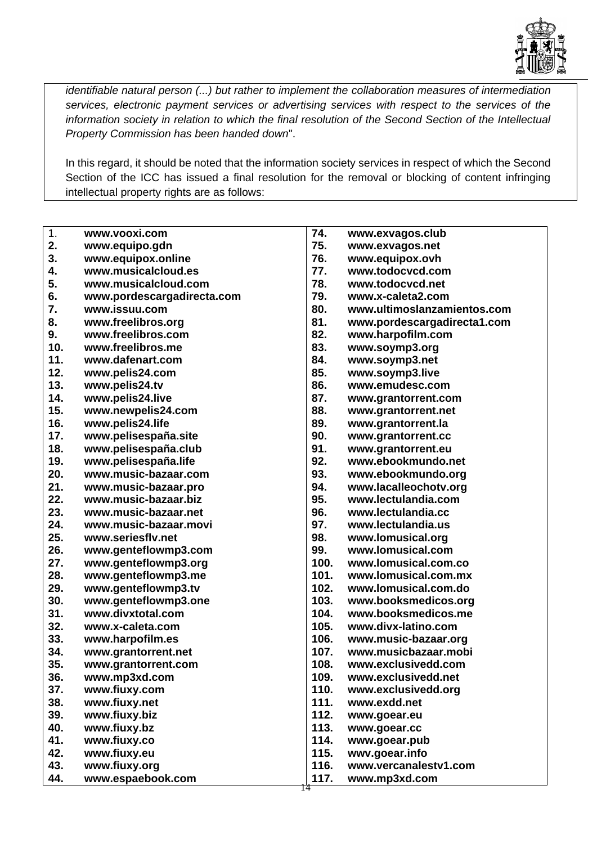

*identifiable natural person (...) but rather to implement the collaboration measures of intermediation services, electronic payment services or advertising services with respect to the services of the information society in relation to which the final resolution of the Second Section of the Intellectual Property Commission has been handed down*".

In this regard, it should be noted that the information society services in respect of which the Second Section of the ICC has issued a final resolution for the removal or blocking of content infringing intellectual property rights are as follows:

| 1.<br>74.<br>www.vooxi.com<br>www.exvagos.club<br>75.<br>2.<br>www.equipo.gdn<br>www.exvagos.net<br>3.<br>76.<br>www.equipox.online<br>www.equipox.ovh<br>77.<br>4.<br>www.musicalcloud.es<br>www.todocvcd.com<br>5.<br>78.<br>www.musicalcloud.com<br>www.todocvcd.net<br>6.<br>79.<br>www.x-caleta2.com<br>www.pordescargadirecta.com<br>7.<br>80.<br>www.issuu.com<br>www.ultimoslanzamientos.com<br>8.<br>81.<br>www.freelibros.org<br>www.pordescargadirecta1.com<br>9.<br>www.freelibros.com<br>82.<br>www.harpofilm.com<br>10.<br>www.freelibros.me<br>83.<br>www.soymp3.org<br>11.<br>84.<br>www.dafenart.com<br>www.soymp3.net<br>12.<br>85.<br>www.pelis24.com<br>www.soymp3.live<br>13.<br>86.<br>www.emudesc.com<br>www.pelis24.tv<br>14.<br>www.pelis24.live<br>87.<br>www.grantorrent.com<br>15.<br>www.newpelis24.com<br>88.<br>www.grantorrent.net<br>16.<br>www.pelis24.life<br>89.<br>www.grantorrent.la<br>17.<br>www.pelisespaña.site<br>90.<br>www.grantorrent.cc<br>18.<br>www.pelisespaña.club<br>91.<br>www.grantorrent.eu<br>19.<br>www.pelisespaña.life<br>92.<br>www.ebookmundo.net<br>20.<br>www.music-bazaar.com<br>93.<br>www.ebookmundo.org<br>21.<br>94.<br>www.music-bazaar.pro<br>www.lacalleochotv.org<br>22.<br>95.<br>www.music-bazaar.biz<br>www.lectulandia.com<br>23.<br>96.<br>www.lectulandia.cc<br>www.music-bazaar.net<br>24.<br>97.<br>www.music-bazaar.movi<br>www.lectulandia.us<br>25.<br>www.seriesflv.net<br>98.<br>www.lomusical.org<br>www.lomusical.com<br>26.<br>99.<br>www.genteflowmp3.com<br>27.<br>www.genteflowmp3.org<br>100.<br>www.lomusical.com.co<br>101.<br>28.<br>www.genteflowmp3.me<br>www.lomusical.com.mx<br>102.<br>29.<br>www.genteflowmp3.tv<br>www.lomusical.com.do<br>30.<br>www.genteflowmp3.one<br>103.<br>www.booksmedicos.org<br>31.<br>www.divxtotal.com<br>104.<br>www.booksmedicos.me<br>32.<br>105.<br>www.divx-latino.com<br>www.x-caleta.com<br>33.<br>106.<br>www.harpofilm.es<br>www.music-bazaar.org<br>34.<br>107.<br>www.musicbazaar.mobi<br>www.grantorrent.net<br>35.<br>108.<br>www.exclusivedd.com<br>www.grantorrent.com<br>109.<br>36.<br>www.exclusivedd.net<br>www.mp3xd.com<br>37.<br>www.fiuxy.com<br>110.<br>www.exclusivedd.org<br>38.<br>111.<br>www.fiuxy.net<br>www.exdd.net<br>39.<br>112.<br>www.fiuxy.biz<br>www.goear.eu<br>40.<br>113.<br>www.fiuxy.bz<br>www.goear.cc<br>41.<br>www.fiuxy.co<br>114.<br>www.goear.pub<br>42.<br>www.fiuxy.eu<br>115.<br>wwv.goear.info |  |  |
|---------------------------------------------------------------------------------------------------------------------------------------------------------------------------------------------------------------------------------------------------------------------------------------------------------------------------------------------------------------------------------------------------------------------------------------------------------------------------------------------------------------------------------------------------------------------------------------------------------------------------------------------------------------------------------------------------------------------------------------------------------------------------------------------------------------------------------------------------------------------------------------------------------------------------------------------------------------------------------------------------------------------------------------------------------------------------------------------------------------------------------------------------------------------------------------------------------------------------------------------------------------------------------------------------------------------------------------------------------------------------------------------------------------------------------------------------------------------------------------------------------------------------------------------------------------------------------------------------------------------------------------------------------------------------------------------------------------------------------------------------------------------------------------------------------------------------------------------------------------------------------------------------------------------------------------------------------------------------------------------------------------------------------------------------------------------------------------------------------------------------------------------------------------------------------------------------------------------------------------------------------------------------------------------------------------------------------------------------------------------------------------------------------------------------------------------------------------------------------------|--|--|
|                                                                                                                                                                                                                                                                                                                                                                                                                                                                                                                                                                                                                                                                                                                                                                                                                                                                                                                                                                                                                                                                                                                                                                                                                                                                                                                                                                                                                                                                                                                                                                                                                                                                                                                                                                                                                                                                                                                                                                                                                                                                                                                                                                                                                                                                                                                                                                                                                                                                                       |  |  |
|                                                                                                                                                                                                                                                                                                                                                                                                                                                                                                                                                                                                                                                                                                                                                                                                                                                                                                                                                                                                                                                                                                                                                                                                                                                                                                                                                                                                                                                                                                                                                                                                                                                                                                                                                                                                                                                                                                                                                                                                                                                                                                                                                                                                                                                                                                                                                                                                                                                                                       |  |  |
|                                                                                                                                                                                                                                                                                                                                                                                                                                                                                                                                                                                                                                                                                                                                                                                                                                                                                                                                                                                                                                                                                                                                                                                                                                                                                                                                                                                                                                                                                                                                                                                                                                                                                                                                                                                                                                                                                                                                                                                                                                                                                                                                                                                                                                                                                                                                                                                                                                                                                       |  |  |
|                                                                                                                                                                                                                                                                                                                                                                                                                                                                                                                                                                                                                                                                                                                                                                                                                                                                                                                                                                                                                                                                                                                                                                                                                                                                                                                                                                                                                                                                                                                                                                                                                                                                                                                                                                                                                                                                                                                                                                                                                                                                                                                                                                                                                                                                                                                                                                                                                                                                                       |  |  |
|                                                                                                                                                                                                                                                                                                                                                                                                                                                                                                                                                                                                                                                                                                                                                                                                                                                                                                                                                                                                                                                                                                                                                                                                                                                                                                                                                                                                                                                                                                                                                                                                                                                                                                                                                                                                                                                                                                                                                                                                                                                                                                                                                                                                                                                                                                                                                                                                                                                                                       |  |  |
|                                                                                                                                                                                                                                                                                                                                                                                                                                                                                                                                                                                                                                                                                                                                                                                                                                                                                                                                                                                                                                                                                                                                                                                                                                                                                                                                                                                                                                                                                                                                                                                                                                                                                                                                                                                                                                                                                                                                                                                                                                                                                                                                                                                                                                                                                                                                                                                                                                                                                       |  |  |
|                                                                                                                                                                                                                                                                                                                                                                                                                                                                                                                                                                                                                                                                                                                                                                                                                                                                                                                                                                                                                                                                                                                                                                                                                                                                                                                                                                                                                                                                                                                                                                                                                                                                                                                                                                                                                                                                                                                                                                                                                                                                                                                                                                                                                                                                                                                                                                                                                                                                                       |  |  |
|                                                                                                                                                                                                                                                                                                                                                                                                                                                                                                                                                                                                                                                                                                                                                                                                                                                                                                                                                                                                                                                                                                                                                                                                                                                                                                                                                                                                                                                                                                                                                                                                                                                                                                                                                                                                                                                                                                                                                                                                                                                                                                                                                                                                                                                                                                                                                                                                                                                                                       |  |  |
|                                                                                                                                                                                                                                                                                                                                                                                                                                                                                                                                                                                                                                                                                                                                                                                                                                                                                                                                                                                                                                                                                                                                                                                                                                                                                                                                                                                                                                                                                                                                                                                                                                                                                                                                                                                                                                                                                                                                                                                                                                                                                                                                                                                                                                                                                                                                                                                                                                                                                       |  |  |
|                                                                                                                                                                                                                                                                                                                                                                                                                                                                                                                                                                                                                                                                                                                                                                                                                                                                                                                                                                                                                                                                                                                                                                                                                                                                                                                                                                                                                                                                                                                                                                                                                                                                                                                                                                                                                                                                                                                                                                                                                                                                                                                                                                                                                                                                                                                                                                                                                                                                                       |  |  |
|                                                                                                                                                                                                                                                                                                                                                                                                                                                                                                                                                                                                                                                                                                                                                                                                                                                                                                                                                                                                                                                                                                                                                                                                                                                                                                                                                                                                                                                                                                                                                                                                                                                                                                                                                                                                                                                                                                                                                                                                                                                                                                                                                                                                                                                                                                                                                                                                                                                                                       |  |  |
|                                                                                                                                                                                                                                                                                                                                                                                                                                                                                                                                                                                                                                                                                                                                                                                                                                                                                                                                                                                                                                                                                                                                                                                                                                                                                                                                                                                                                                                                                                                                                                                                                                                                                                                                                                                                                                                                                                                                                                                                                                                                                                                                                                                                                                                                                                                                                                                                                                                                                       |  |  |
|                                                                                                                                                                                                                                                                                                                                                                                                                                                                                                                                                                                                                                                                                                                                                                                                                                                                                                                                                                                                                                                                                                                                                                                                                                                                                                                                                                                                                                                                                                                                                                                                                                                                                                                                                                                                                                                                                                                                                                                                                                                                                                                                                                                                                                                                                                                                                                                                                                                                                       |  |  |
|                                                                                                                                                                                                                                                                                                                                                                                                                                                                                                                                                                                                                                                                                                                                                                                                                                                                                                                                                                                                                                                                                                                                                                                                                                                                                                                                                                                                                                                                                                                                                                                                                                                                                                                                                                                                                                                                                                                                                                                                                                                                                                                                                                                                                                                                                                                                                                                                                                                                                       |  |  |
|                                                                                                                                                                                                                                                                                                                                                                                                                                                                                                                                                                                                                                                                                                                                                                                                                                                                                                                                                                                                                                                                                                                                                                                                                                                                                                                                                                                                                                                                                                                                                                                                                                                                                                                                                                                                                                                                                                                                                                                                                                                                                                                                                                                                                                                                                                                                                                                                                                                                                       |  |  |
|                                                                                                                                                                                                                                                                                                                                                                                                                                                                                                                                                                                                                                                                                                                                                                                                                                                                                                                                                                                                                                                                                                                                                                                                                                                                                                                                                                                                                                                                                                                                                                                                                                                                                                                                                                                                                                                                                                                                                                                                                                                                                                                                                                                                                                                                                                                                                                                                                                                                                       |  |  |
|                                                                                                                                                                                                                                                                                                                                                                                                                                                                                                                                                                                                                                                                                                                                                                                                                                                                                                                                                                                                                                                                                                                                                                                                                                                                                                                                                                                                                                                                                                                                                                                                                                                                                                                                                                                                                                                                                                                                                                                                                                                                                                                                                                                                                                                                                                                                                                                                                                                                                       |  |  |
|                                                                                                                                                                                                                                                                                                                                                                                                                                                                                                                                                                                                                                                                                                                                                                                                                                                                                                                                                                                                                                                                                                                                                                                                                                                                                                                                                                                                                                                                                                                                                                                                                                                                                                                                                                                                                                                                                                                                                                                                                                                                                                                                                                                                                                                                                                                                                                                                                                                                                       |  |  |
|                                                                                                                                                                                                                                                                                                                                                                                                                                                                                                                                                                                                                                                                                                                                                                                                                                                                                                                                                                                                                                                                                                                                                                                                                                                                                                                                                                                                                                                                                                                                                                                                                                                                                                                                                                                                                                                                                                                                                                                                                                                                                                                                                                                                                                                                                                                                                                                                                                                                                       |  |  |
|                                                                                                                                                                                                                                                                                                                                                                                                                                                                                                                                                                                                                                                                                                                                                                                                                                                                                                                                                                                                                                                                                                                                                                                                                                                                                                                                                                                                                                                                                                                                                                                                                                                                                                                                                                                                                                                                                                                                                                                                                                                                                                                                                                                                                                                                                                                                                                                                                                                                                       |  |  |
|                                                                                                                                                                                                                                                                                                                                                                                                                                                                                                                                                                                                                                                                                                                                                                                                                                                                                                                                                                                                                                                                                                                                                                                                                                                                                                                                                                                                                                                                                                                                                                                                                                                                                                                                                                                                                                                                                                                                                                                                                                                                                                                                                                                                                                                                                                                                                                                                                                                                                       |  |  |
|                                                                                                                                                                                                                                                                                                                                                                                                                                                                                                                                                                                                                                                                                                                                                                                                                                                                                                                                                                                                                                                                                                                                                                                                                                                                                                                                                                                                                                                                                                                                                                                                                                                                                                                                                                                                                                                                                                                                                                                                                                                                                                                                                                                                                                                                                                                                                                                                                                                                                       |  |  |
|                                                                                                                                                                                                                                                                                                                                                                                                                                                                                                                                                                                                                                                                                                                                                                                                                                                                                                                                                                                                                                                                                                                                                                                                                                                                                                                                                                                                                                                                                                                                                                                                                                                                                                                                                                                                                                                                                                                                                                                                                                                                                                                                                                                                                                                                                                                                                                                                                                                                                       |  |  |
|                                                                                                                                                                                                                                                                                                                                                                                                                                                                                                                                                                                                                                                                                                                                                                                                                                                                                                                                                                                                                                                                                                                                                                                                                                                                                                                                                                                                                                                                                                                                                                                                                                                                                                                                                                                                                                                                                                                                                                                                                                                                                                                                                                                                                                                                                                                                                                                                                                                                                       |  |  |
|                                                                                                                                                                                                                                                                                                                                                                                                                                                                                                                                                                                                                                                                                                                                                                                                                                                                                                                                                                                                                                                                                                                                                                                                                                                                                                                                                                                                                                                                                                                                                                                                                                                                                                                                                                                                                                                                                                                                                                                                                                                                                                                                                                                                                                                                                                                                                                                                                                                                                       |  |  |
|                                                                                                                                                                                                                                                                                                                                                                                                                                                                                                                                                                                                                                                                                                                                                                                                                                                                                                                                                                                                                                                                                                                                                                                                                                                                                                                                                                                                                                                                                                                                                                                                                                                                                                                                                                                                                                                                                                                                                                                                                                                                                                                                                                                                                                                                                                                                                                                                                                                                                       |  |  |
|                                                                                                                                                                                                                                                                                                                                                                                                                                                                                                                                                                                                                                                                                                                                                                                                                                                                                                                                                                                                                                                                                                                                                                                                                                                                                                                                                                                                                                                                                                                                                                                                                                                                                                                                                                                                                                                                                                                                                                                                                                                                                                                                                                                                                                                                                                                                                                                                                                                                                       |  |  |
|                                                                                                                                                                                                                                                                                                                                                                                                                                                                                                                                                                                                                                                                                                                                                                                                                                                                                                                                                                                                                                                                                                                                                                                                                                                                                                                                                                                                                                                                                                                                                                                                                                                                                                                                                                                                                                                                                                                                                                                                                                                                                                                                                                                                                                                                                                                                                                                                                                                                                       |  |  |
|                                                                                                                                                                                                                                                                                                                                                                                                                                                                                                                                                                                                                                                                                                                                                                                                                                                                                                                                                                                                                                                                                                                                                                                                                                                                                                                                                                                                                                                                                                                                                                                                                                                                                                                                                                                                                                                                                                                                                                                                                                                                                                                                                                                                                                                                                                                                                                                                                                                                                       |  |  |
|                                                                                                                                                                                                                                                                                                                                                                                                                                                                                                                                                                                                                                                                                                                                                                                                                                                                                                                                                                                                                                                                                                                                                                                                                                                                                                                                                                                                                                                                                                                                                                                                                                                                                                                                                                                                                                                                                                                                                                                                                                                                                                                                                                                                                                                                                                                                                                                                                                                                                       |  |  |
|                                                                                                                                                                                                                                                                                                                                                                                                                                                                                                                                                                                                                                                                                                                                                                                                                                                                                                                                                                                                                                                                                                                                                                                                                                                                                                                                                                                                                                                                                                                                                                                                                                                                                                                                                                                                                                                                                                                                                                                                                                                                                                                                                                                                                                                                                                                                                                                                                                                                                       |  |  |
|                                                                                                                                                                                                                                                                                                                                                                                                                                                                                                                                                                                                                                                                                                                                                                                                                                                                                                                                                                                                                                                                                                                                                                                                                                                                                                                                                                                                                                                                                                                                                                                                                                                                                                                                                                                                                                                                                                                                                                                                                                                                                                                                                                                                                                                                                                                                                                                                                                                                                       |  |  |
|                                                                                                                                                                                                                                                                                                                                                                                                                                                                                                                                                                                                                                                                                                                                                                                                                                                                                                                                                                                                                                                                                                                                                                                                                                                                                                                                                                                                                                                                                                                                                                                                                                                                                                                                                                                                                                                                                                                                                                                                                                                                                                                                                                                                                                                                                                                                                                                                                                                                                       |  |  |
|                                                                                                                                                                                                                                                                                                                                                                                                                                                                                                                                                                                                                                                                                                                                                                                                                                                                                                                                                                                                                                                                                                                                                                                                                                                                                                                                                                                                                                                                                                                                                                                                                                                                                                                                                                                                                                                                                                                                                                                                                                                                                                                                                                                                                                                                                                                                                                                                                                                                                       |  |  |
|                                                                                                                                                                                                                                                                                                                                                                                                                                                                                                                                                                                                                                                                                                                                                                                                                                                                                                                                                                                                                                                                                                                                                                                                                                                                                                                                                                                                                                                                                                                                                                                                                                                                                                                                                                                                                                                                                                                                                                                                                                                                                                                                                                                                                                                                                                                                                                                                                                                                                       |  |  |
|                                                                                                                                                                                                                                                                                                                                                                                                                                                                                                                                                                                                                                                                                                                                                                                                                                                                                                                                                                                                                                                                                                                                                                                                                                                                                                                                                                                                                                                                                                                                                                                                                                                                                                                                                                                                                                                                                                                                                                                                                                                                                                                                                                                                                                                                                                                                                                                                                                                                                       |  |  |
|                                                                                                                                                                                                                                                                                                                                                                                                                                                                                                                                                                                                                                                                                                                                                                                                                                                                                                                                                                                                                                                                                                                                                                                                                                                                                                                                                                                                                                                                                                                                                                                                                                                                                                                                                                                                                                                                                                                                                                                                                                                                                                                                                                                                                                                                                                                                                                                                                                                                                       |  |  |
|                                                                                                                                                                                                                                                                                                                                                                                                                                                                                                                                                                                                                                                                                                                                                                                                                                                                                                                                                                                                                                                                                                                                                                                                                                                                                                                                                                                                                                                                                                                                                                                                                                                                                                                                                                                                                                                                                                                                                                                                                                                                                                                                                                                                                                                                                                                                                                                                                                                                                       |  |  |
|                                                                                                                                                                                                                                                                                                                                                                                                                                                                                                                                                                                                                                                                                                                                                                                                                                                                                                                                                                                                                                                                                                                                                                                                                                                                                                                                                                                                                                                                                                                                                                                                                                                                                                                                                                                                                                                                                                                                                                                                                                                                                                                                                                                                                                                                                                                                                                                                                                                                                       |  |  |
|                                                                                                                                                                                                                                                                                                                                                                                                                                                                                                                                                                                                                                                                                                                                                                                                                                                                                                                                                                                                                                                                                                                                                                                                                                                                                                                                                                                                                                                                                                                                                                                                                                                                                                                                                                                                                                                                                                                                                                                                                                                                                                                                                                                                                                                                                                                                                                                                                                                                                       |  |  |
|                                                                                                                                                                                                                                                                                                                                                                                                                                                                                                                                                                                                                                                                                                                                                                                                                                                                                                                                                                                                                                                                                                                                                                                                                                                                                                                                                                                                                                                                                                                                                                                                                                                                                                                                                                                                                                                                                                                                                                                                                                                                                                                                                                                                                                                                                                                                                                                                                                                                                       |  |  |
|                                                                                                                                                                                                                                                                                                                                                                                                                                                                                                                                                                                                                                                                                                                                                                                                                                                                                                                                                                                                                                                                                                                                                                                                                                                                                                                                                                                                                                                                                                                                                                                                                                                                                                                                                                                                                                                                                                                                                                                                                                                                                                                                                                                                                                                                                                                                                                                                                                                                                       |  |  |
| 43.<br>www.fiuxy.org<br>116.<br>www.vercanalestv1.com                                                                                                                                                                                                                                                                                                                                                                                                                                                                                                                                                                                                                                                                                                                                                                                                                                                                                                                                                                                                                                                                                                                                                                                                                                                                                                                                                                                                                                                                                                                                                                                                                                                                                                                                                                                                                                                                                                                                                                                                                                                                                                                                                                                                                                                                                                                                                                                                                                 |  |  |
| 44.<br>www.espaebook.com<br>117.<br>www.mp3xd.com                                                                                                                                                                                                                                                                                                                                                                                                                                                                                                                                                                                                                                                                                                                                                                                                                                                                                                                                                                                                                                                                                                                                                                                                                                                                                                                                                                                                                                                                                                                                                                                                                                                                                                                                                                                                                                                                                                                                                                                                                                                                                                                                                                                                                                                                                                                                                                                                                                     |  |  |